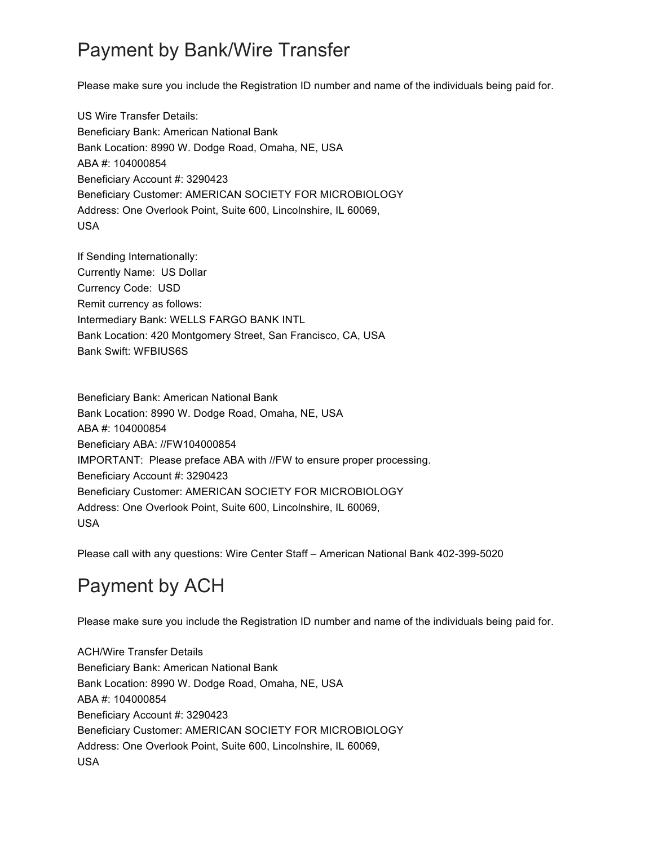## Payment by Bank/Wire Transfer

Please make sure you include the Registration ID number and name of the individuals being paid for.

US Wire Transfer Details: Beneficiary Bank: American National Bank Bank Location: 8990 W. Dodge Road, Omaha, NE, USA ABA #: 104000854 Beneficiary Account #: 3290423 Beneficiary Customer: AMERICAN SOCIETY FOR MICROBIOLOGY Address: One Overlook Point, Suite 600, Lincolnshire, IL 60069, USA

If Sending Internationally: Currently Name: US Dollar Currency Code: USD Remit currency as follows: Intermediary Bank: WELLS FARGO BANK INTL Bank Location: 420 Montgomery Street, San Francisco, CA, USA Bank Swift: WFBIUS6S

Beneficiary Bank: American National Bank Bank Location: 8990 W. Dodge Road, Omaha, NE, USA ABA #: 104000854 Beneficiary ABA: //FW104000854 IMPORTANT: Please preface ABA with //FW to ensure proper processing. Beneficiary Account #: 3290423 Beneficiary Customer: AMERICAN SOCIETY FOR MICROBIOLOGY Address: One Overlook Point, Suite 600, Lincolnshire, IL 60069, USA

Please call with any questions: Wire Center Staff – American National Bank 402-399-5020

## Payment by ACH

Please make sure you include the Registration ID number and name of the individuals being paid for.

ACH/Wire Transfer Details Beneficiary Bank: American National Bank Bank Location: 8990 W. Dodge Road, Omaha, NE, USA ABA #: 104000854 Beneficiary Account #: 3290423 Beneficiary Customer: AMERICAN SOCIETY FOR MICROBIOLOGY Address: One Overlook Point, Suite 600, Lincolnshire, IL 60069, USA